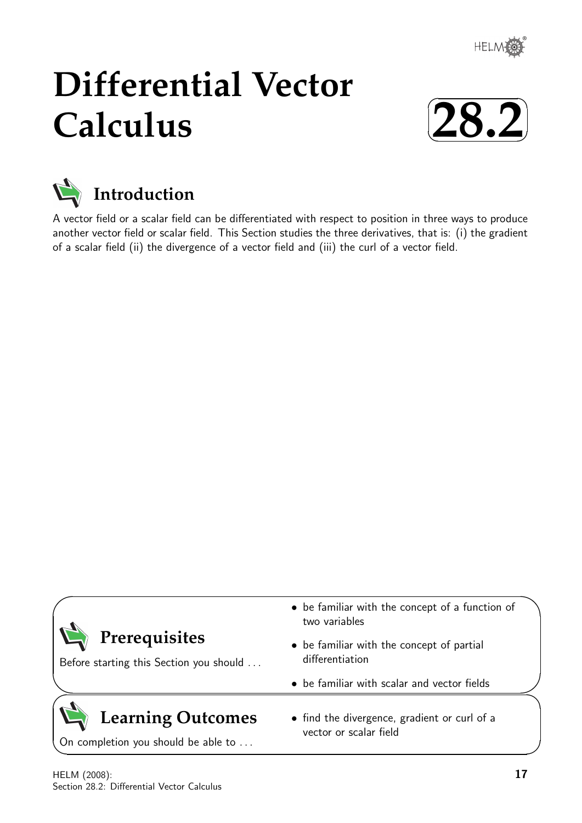

# **Differential Vector Calculus**





A vector field or a scalar field can be differentiated with respect to position in three ways to produce another vector field or scalar field. This Section studies the three derivatives, that is: (i) the gradient of a scalar field (ii) the divergence of a vector field and (iii) the curl of a vector field.

|                                         | • be familiar with the concept of a function of<br>two variables |  |
|-----------------------------------------|------------------------------------------------------------------|--|
| Prerequisites                           | • be familiar with the concept of partial                        |  |
| Before starting this Section you should | differentiation                                                  |  |
|                                         | • be familiar with scalar and vector fields                      |  |
| <b>Learning Outcomes</b>                | • find the divergence, gradient or curl of a                     |  |
| On completion you should be able to     | vector or scalar field                                           |  |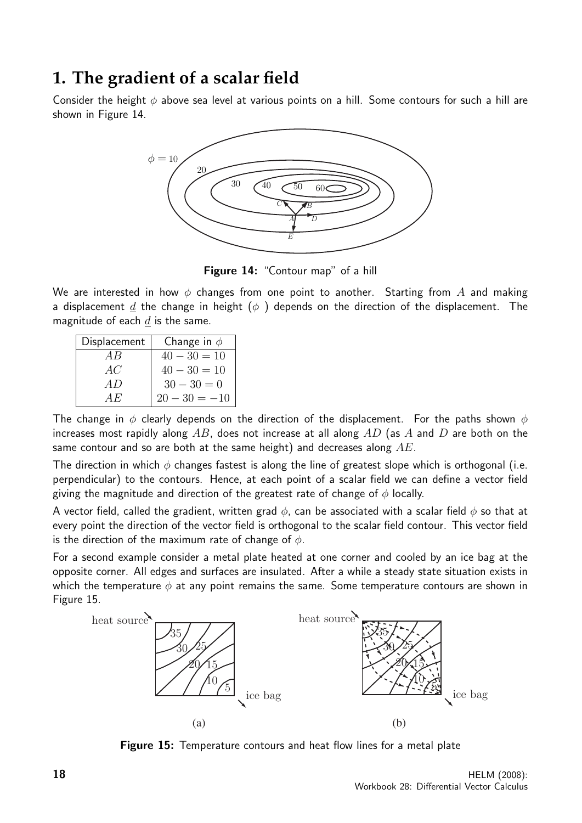### **1. The gradient of a scalar field**

Consider the height  $\phi$  above sea level at various points on a hill. Some contours for such a hill are shown in Figure 14.



Figure 14: "Contour map" of a hill

We are interested in how  $\phi$  changes from one point to another. Starting from A and making a displacement d the change in height ( $\phi$ ) depends on the direction of the displacement. The magnitude of each  $d$  is the same.

| Displacement | Change in $\phi$ |
|--------------|------------------|
| A R          | $40 - 30 = 10$   |
| AC           | $40 - 30 = 10$   |
| A D          | $30 - 30 = 0$    |
| A H.         | $20 - 30 = -10$  |

The change in  $\phi$  clearly depends on the direction of the displacement. For the paths shown  $\phi$ increases most rapidly along AB, does not increase at all along AD (as A and D are both on the same contour and so are both at the same height) and decreases along  $AE$ .

The direction in which  $\phi$  changes fastest is along the line of greatest slope which is orthogonal (i.e. perpendicular) to the contours. Hence, at each point of a scalar field we can define a vector field giving the magnitude and direction of the greatest rate of change of  $\phi$  locally.

A vector field, called the gradient, written grad  $\phi$ , can be associated with a scalar field  $\phi$  so that at every point the direction of the vector field is orthogonal to the scalar field contour. This vector field is the direction of the maximum rate of change of  $\phi$ .

For a second example consider a metal plate heated at one corner and cooled by an ice bag at the opposite corner. All edges and surfaces are insulated. After a while a steady state situation exists in which the temperature  $\phi$  at any point remains the same. Some temperature contours are shown in Figure 15.



**Figure 15:** Temperature contours and heat flow lines for a metal plate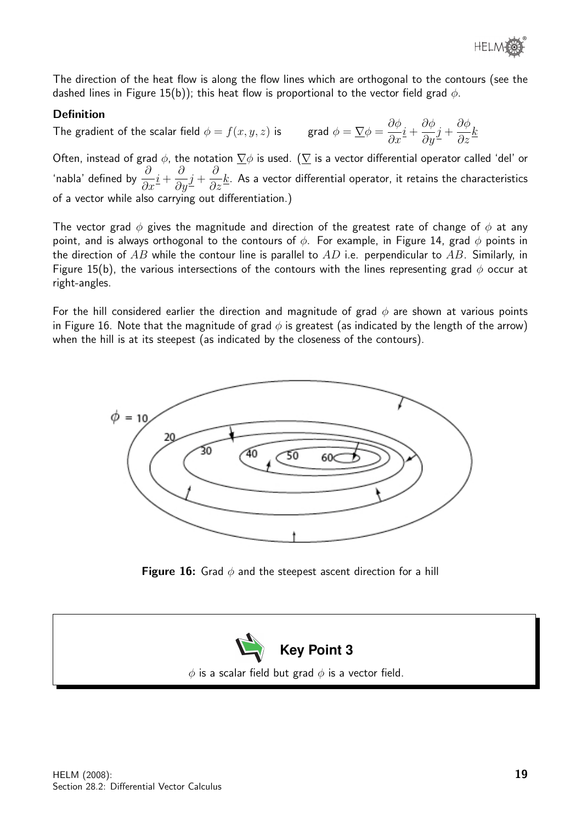The direction of the heat flow is along the flow lines which are orthogonal to the contours (see the dashed lines in Figure 15(b)); this heat flow is proportional to the vector field grad  $\phi$ .

#### Definition

The gradient of the scalar field  $\phi = f(x, y, z)$  is grad  $\phi = \frac{\nabla \phi}{\partial \phi} = \frac{\partial \phi}{\partial \phi}$  $\frac{\partial \varphi}{\partial x}\underline{i} +$  $\partial \phi$  $\frac{\partial^{\varphi}}{\partial y}j +$  $\partial \phi$  $rac{\sigma}{\partial z}$ <sub>k</sub>

Often, instead of grad  $\phi$ , the notation  $\nabla \phi$  is used. ( $\nabla$  is a vector differential operator called 'del' or 'nabla' defined by  $\frac{\partial}{\partial x}$  $\frac{\partial}{\partial x}\underline{i} +$ ∂  $\frac{\delta}{\partial y}j +$ ∂  $\frac{\sigma}{\partial z}$  K. As a vector differential operator, it retains the characteristics of a vector while also carrying out differentiation.)

The vector grad  $\phi$  gives the magnitude and direction of the greatest rate of change of  $\phi$  at any point, and is always orthogonal to the contours of  $\phi$ . For example, in Figure 14, grad  $\phi$  points in the direction of AB while the contour line is parallel to AD i.e. perpendicular to AB. Similarly, in Figure 15(b), the various intersections of the contours with the lines representing grad  $\phi$  occur at right-angles.

For the hill considered earlier the direction and magnitude of grad  $\phi$  are shown at various points in Figure 16. Note that the magnitude of grad  $\phi$  is greatest (as indicated by the length of the arrow) when the hill is at its steepest (as indicated by the closeness of the contours).



**Figure 16:** Grad  $\phi$  and the steepest ascent direction for a hill

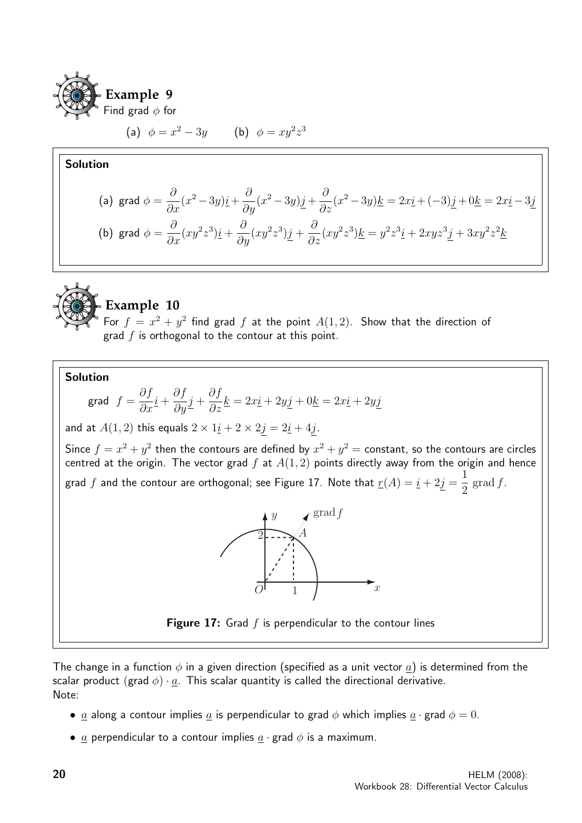

(a)  $\phi = x^2 - 3y$  (b)  $\phi = xy^2z^3$ 

#### Solution

(a) grad 
$$
\phi = \frac{\partial}{\partial x}(x^2 - 3y)\underline{i} + \frac{\partial}{\partial y}(x^2 - 3y)\underline{j} + \frac{\partial}{\partial z}(x^2 - 3y)\underline{k} = 2x\underline{i} + (-3)\underline{j} + 0\underline{k} = 2x\underline{i} - 3\underline{j}
$$
  
\n(b) grad  $\phi = \frac{\partial}{\partial x}(xy^2z^3)\underline{i} + \frac{\partial}{\partial y}(xy^2z^3)\underline{j} + \frac{\partial}{\partial z}(xy^2z^3)\underline{k} = y^2z^3\underline{i} + 2xyz^3\underline{j} + 3xy^2z^2\underline{k}$ 



### **Example 10**

For  $f = x^2 + y^2$  find grad f at the point  $A(1,2)$ . Show that the direction of grad  $f$  is orthogonal to the contour at this point.

Solution

grad 
$$
f = \frac{\partial f}{\partial x}\underline{i} + \frac{\partial f}{\partial y}\underline{j} + \frac{\partial f}{\partial z}\underline{k} = 2x\underline{i} + 2y\underline{j} + 0\underline{k} = 2x\underline{i} + 2y\underline{j}
$$

and at  $A(1,2)$  this equals  $2 \times 1i + 2 \times 2j = 2i + 4j$ .

Since  $f = x^2 + y^2$  then the contours are defined by  $x^2 + y^2 = \text{constant}$ , so the contours are circles centred at the origin. The vector grad  $f$  at  $A(1,2)$  points directly away from the origin and hence grad  $f$  and the contour are orthogonal; see Figure 17. Note that  $\underline{r}(A) = \underline{i} + 2j = 0$ 1 2  $\operatorname{grad} f$ .



**Figure 17:** Grad  $f$  is perpendicular to the contour lines

The change in a function  $\phi$  in a given direction (specified as a unit vector  $\underline{a}$ ) is determined from the scalar product (grad  $\phi$ ) · a. This scalar quantity is called the directional derivative. Note:

- a along a contour implies a is perpendicular to grad  $\phi$  which implies  $a \cdot$  grad  $\phi = 0$ .
- $\underline{a}$  perpendicular to a contour implies  $\underline{a} \cdot \underline{g}$  and  $\phi$  is a maximum.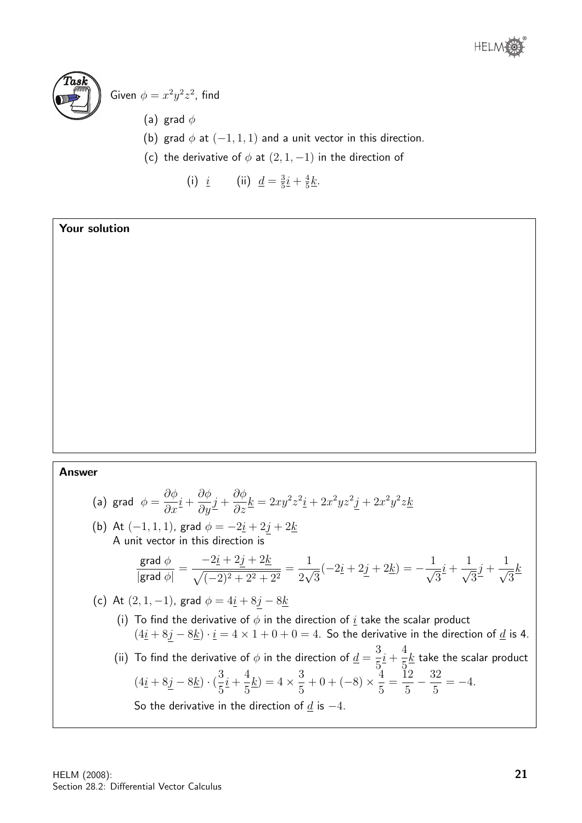



### Given  $\phi = x^2y^2z^2$ , find

- (a) grad  $\phi$
- (b) grad  $\phi$  at  $(-1, 1, 1)$  and a unit vector in this direction.
- (c) the derivative of  $\phi$  at  $(2, 1, -1)$  in the direction of
	- (i)  $\underline{i}$  (ii)  $\underline{d} = \frac{3}{5}$  $\frac{3}{5}\underline{i} + \frac{4}{5}$  $rac{4}{5}\underline{k}$ .

#### Your solution

#### Answer

(a) grad 
$$
\phi = \frac{\partial \phi}{\partial x}\underline{i} + \frac{\partial \phi}{\partial y}\underline{j} + \frac{\partial \phi}{\partial z}\underline{k} = 2xy^2z^2\underline{i} + 2x^2yz^2\underline{j} + 2x^2y^2z\underline{k}
$$

(b) At  $(-1, 1, 1)$ , grad  $\phi = -2i + 2j + 2k$ A unit vector in this direction is

$$
\frac{\text{grad }\phi}{|\text{grad }\phi|} = \frac{-2\underline{i} + 2\underline{j} + 2\underline{k}}{\sqrt{(-2)^2 + 2^2 + 2^2}} = \frac{1}{2\sqrt{3}}(-2\underline{i} + 2\underline{j} + 2\underline{k}) = -\frac{1}{\sqrt{3}}\underline{i} + \frac{1}{\sqrt{3}}\underline{j} + \frac{1}{\sqrt{3}}\underline{k}
$$

(c) At 
$$
(2, 1, -1)
$$
, grad  $\phi = 4\underline{i} + 8\underline{j} - 8\underline{k}$ 

(i) To find the derivative of  $\phi$  in the direction of  $\underline{i}$  take the scalar product  $(4i + 8j - 8k) \cdot i = 4 \times 1 + 0 + 0 = 4$ . So the derivative in the direction of <u>d</u> is 4.

(ii) To find the derivative of  $\phi$  in the direction of  $\underline{d} =$ 3 5  $i +$ 4 5  $k$  take the scalar product  $(4\underline{i} + 8\underline{j} - 8\underline{k}) \cdot (\frac{3}{7})$ 5  $i +$ 4 5  $\underline{k}) = 4 \times \frac{3}{5}$ 5  $+0+(-8)\times\frac{4}{5}$ 5 =  $\check{1}2$ 5  $-\frac{32}{5}$ 5  $=-4.$ So the derivative in the direction of  $d$  is  $-4$ .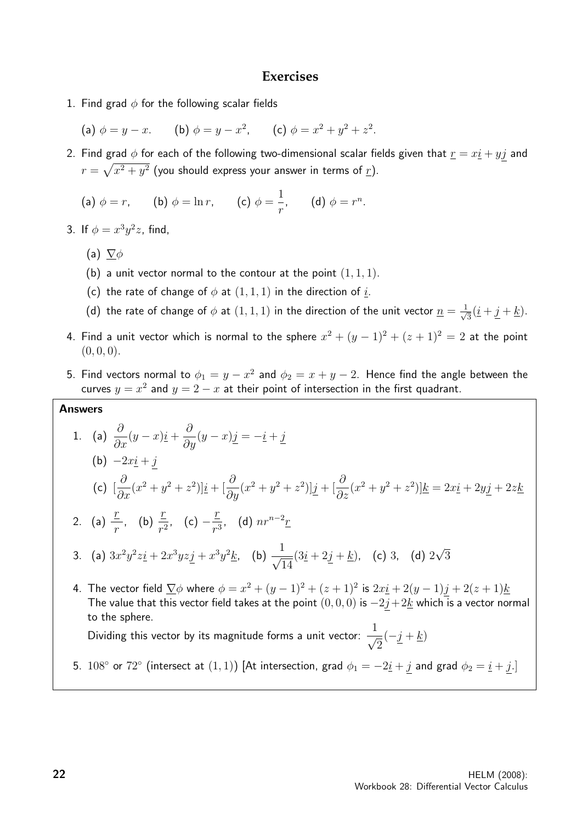#### **Exercises**

- 1. Find grad  $\phi$  for the following scalar fields
	- (a)  $\phi = y x$ . (b)  $\phi = y x^2$ , (c)  $\phi = x^2 + y^2 + z^2$ .
- 2. Find grad  $\phi$  for each of the following two-dimensional scalar fields given that  $\underline{r} = x\underline{i} + y\underline{j}$  and  $r=\sqrt{x^2+y^2}$  (you should express your answer in terms of  $\underline{r}$ ).
	- (a)  $\phi = r$ , (b)  $\phi = \ln r$ , (c)  $\phi =$ 1 r , (d)  $\phi = r^n$ .
- 3. If  $\phi = x^3y^2z$ , find,
	- (a)  $\nabla \phi$
	- (b) a unit vector normal to the contour at the point  $(1, 1, 1)$ .
	- (c) the rate of change of  $\phi$  at  $(1, 1, 1)$  in the direction of  $\underline{i}$ .
	- (d) the rate of change of  $\phi$  at  $(1,1,1)$  in the direction of the unit vector  $\underline{n} = \frac{1}{\sqrt{2}}$  $\frac{1}{3}(\underline{i} + \underline{j} + \underline{k}).$
- 4. Find a unit vector which is normal to the sphere  $x^2 + (y-1)^2 + (z+1)^2 = 2$  at the point  $(0, 0, 0).$
- 5. Find vectors normal to  $\phi_1 = y x^2$  and  $\phi_2 = x + y 2$ . Hence find the angle between the curves  $y = x^2$  and  $y = 2 - x$  at their point of intersection in the first quadrant.

#### Answers

1. (a)  $\frac{\partial}{\partial x}(y-x)\underline{i} + \frac{\partial}{\partial y}(y-x)\underline{j} = -\underline{i} + \underline{j}$ (b)  $-2xi + j$ (c) [ ∂  $\frac{\partial}{\partial x}(x^2+y^2+z^2)]\underline{i}+ [\frac{\partial}{\partial y}$  $\frac{\partial}{\partial y}(x^2+y^2+z^2)\left|\underline{j}+\right|\frac{\partial}{\partial y}$  $\frac{\partial}{\partial z}(x^2 + y^2 + z^2)]\underline{k} = 2x\underline{i} + 2y\underline{j} + 2z\underline{k}$ 2. (a)  $\frac{r}{r}$ r , (b)  $\frac{r}{r}$  $rac{\underline{r}}{r^2}$ , (c)  $-\frac{\underline{r}}{r^3}$  $rac{L}{r^3}$ , (d)  $nr^{n-2}r$ 3. (a)  $3x^2y^2z\dot{i} + 2x^3yzj + x^3y^2k$ , (b)  $\frac{1}{\sqrt{2}}$ 14  $(3i + 2j + k)$ , (c) 3, (d) 2 √ 3 4. The vector field  $\sum \phi$  where  $\phi = x^2 + (y-1)^2 + (z+1)^2$  is  $2x\underline{i} + 2(y-1)\underline{j} + 2(z+1)\underline{k}$ The value that this vector field takes at the point  $(0, 0, 0)$  is  $-2j+2k$  which is a vector normal to the sphere.

Dividing this vector by its magnitude forms a unit vector:  $\frac{1}{\sqrt{2}}$ 2  $(-j + k)$ 

5.  $108°$  or  $72°$  (intersect at  $(1,1)$ ) [At intersection, grad  $\phi_1 = -2\underline{i} + \underline{j}$  and grad  $\phi_2 = \underline{i} + \underline{j}$ .]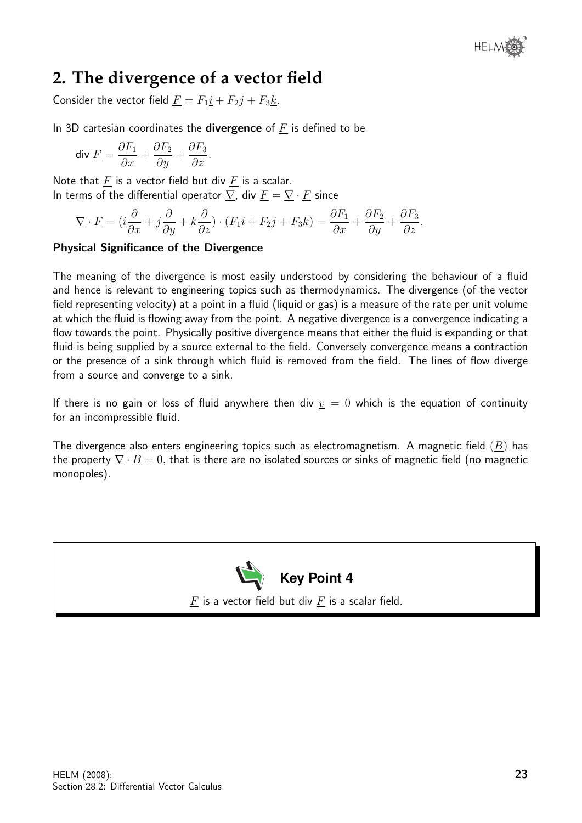

### **2. The divergence of a vector field**

Consider the vector field  $\underline{F} = F_1 \underline{i} + F_2 \underline{j} + F_3 \underline{k}$ .

In 3D cartesian coordinates the **divergence** of  $\overline{F}$  is defined to be

$$
\operatorname{div}\underline{F} = \frac{\partial F_1}{\partial x} + \frac{\partial F_2}{\partial y} + \frac{\partial F_3}{\partial z}.
$$

Note that  $\underline{F}$  is a vector field but div  $\underline{F}$  is a scalar. In terms of the differential operator  $\nabla$ , div  $\underline{F} = \nabla \cdot \underline{F}$  since

$$
\underline{\nabla} \cdot \underline{F} = (\underline{i}\frac{\partial}{\partial x} + \underline{j}\frac{\partial}{\partial y} + \underline{k}\frac{\partial}{\partial z}) \cdot (F_1 \underline{i} + F_2 \underline{j} + F_3 \underline{k}) = \frac{\partial F_1}{\partial x} + \frac{\partial F_2}{\partial y} + \frac{\partial F_3}{\partial z}.
$$

#### Physical Significance of the Divergence

The meaning of the divergence is most easily understood by considering the behaviour of a fluid and hence is relevant to engineering topics such as thermodynamics. The divergence (of the vector field representing velocity) at a point in a fluid (liquid or gas) is a measure of the rate per unit volume at which the fluid is flowing away from the point. A negative divergence is a convergence indicating a flow towards the point. Physically positive divergence means that either the fluid is expanding or that fluid is being supplied by a source external to the field. Conversely convergence means a contraction or the presence of a sink through which fluid is removed from the field. The lines of flow diverge from a source and converge to a sink.

If there is no gain or loss of fluid anywhere then div  $v = 0$  which is the equation of continuity for an incompressible fluid.

The divergence also enters engineering topics such as electromagnetism. A magnetic field  $(B)$  has the property  $\nabla \cdot \underline{B} = 0$ , that is there are no isolated sources or sinks of magnetic field (no magnetic monopoles).



 $F$  is a vector field but div  $F$  is a scalar field.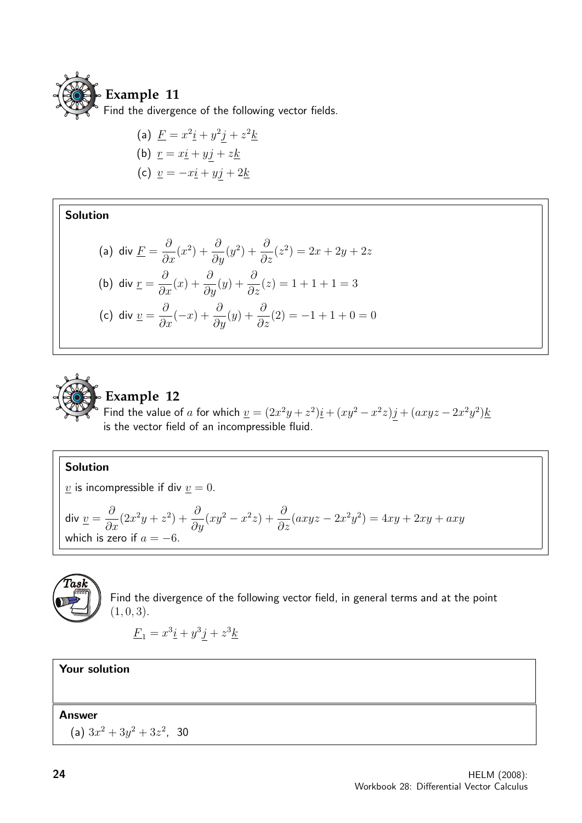

(a) 
$$
E = x^2 \underline{i} + y^2 \underline{j} + z^2 \underline{k}
$$
  
\n(b) 
$$
r = x \underline{i} + y \underline{j} + z \underline{k}
$$
  
\n(c) 
$$
\underline{v} = -x \underline{i} + y \underline{j} + 2 \underline{k}
$$

Solution

(a) div 
$$
\underline{F} = \frac{\partial}{\partial x}(x^2) + \frac{\partial}{\partial y}(y^2) + \frac{\partial}{\partial z}(z^2) = 2x + 2y + 2z
$$
  
\n(b) div  $\underline{r} = \frac{\partial}{\partial x}(x) + \frac{\partial}{\partial y}(y) + \frac{\partial}{\partial z}(z) = 1 + 1 + 1 = 3$   
\n(c) div  $\underline{v} = \frac{\partial}{\partial x}(-x) + \frac{\partial}{\partial y}(y) + \frac{\partial}{\partial z}(2) = -1 + 1 + 0 = 0$ 



#### Solution

 $\underline{v}$  is incompressible if div  $\underline{v} = 0$ .

div 
$$
\underline{v} = \frac{\partial}{\partial x}(2x^2y + z^2) + \frac{\partial}{\partial y}(xy^2 - x^2z) + \frac{\partial}{\partial z}(axyz - 2x^2y^2) = 4xy + 2xy + axy
$$
  
which is zero if  $a = -6$ .



Find the divergence of the following vector field, in general terms and at the point  $(1, 0, 3).$ 

$$
\underline{F}_1 = x^3 \underline{i} + y^3 \underline{j} + z^3 \underline{k}
$$

Your solution

Answer

(a)  $3x^2 + 3y^2 + 3z^2$ , 30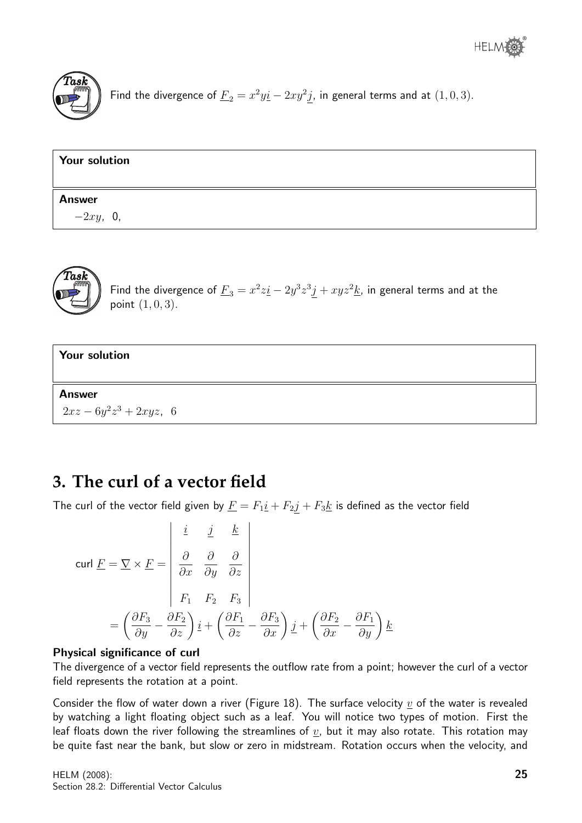

Find the divergence of  $\underline{F}_2 = x^2 y \underline{i} - 2 x y^2 \underline{j}$ , in general terms and at  $(1,0,3)$ .

| Your solution |  |
|---------------|--|
| <b>Answer</b> |  |
| $-2xy$ , 0,   |  |



Find the divergence of  $\underline{F}_3 = x^2 z \underline{i} - 2 y^3 z^3 \underline{j} + xyz^2 \underline{k}$ , in general terms and at the point  $(1, 0, 3)$ .



### **3. The curl of a vector field**

The curl of the vector field given by  $\underline{F} = F_1 \underline{i} + F_2 \underline{j} + F_3 \underline{k}$  is defined as the vector field

$$
\text{curl } \underline{F} = \nabla \times \underline{F} = \begin{vmatrix} \underline{i} & \underline{j} & \underline{k} \\ \frac{\partial}{\partial x} & \frac{\partial}{\partial y} & \frac{\partial}{\partial z} \\ F_1 & F_2 & F_3 \\ F_1 & F_2 & F_3 \end{vmatrix}
$$

$$
= \left( \frac{\partial F_3}{\partial y} - \frac{\partial F_2}{\partial z} \right) \underline{i} + \left( \frac{\partial F_1}{\partial z} - \frac{\partial F_3}{\partial x} \right) \underline{j} + \left( \frac{\partial F_2}{\partial x} - \frac{\partial F_1}{\partial y} \right) \underline{k}
$$

#### Physical significance of curl

The divergence of a vector field represents the outflow rate from a point; however the curl of a vector field represents the rotation at a point.

Consider the flow of water down a river (Figure 18). The surface velocity  $\underline{v}$  of the water is revealed by watching a light floating object such as a leaf. You will notice two types of motion. First the leaf floats down the river following the streamlines of  $\underline{v}$ , but it may also rotate. This rotation may be quite fast near the bank, but slow or zero in midstream. Rotation occurs when the velocity, and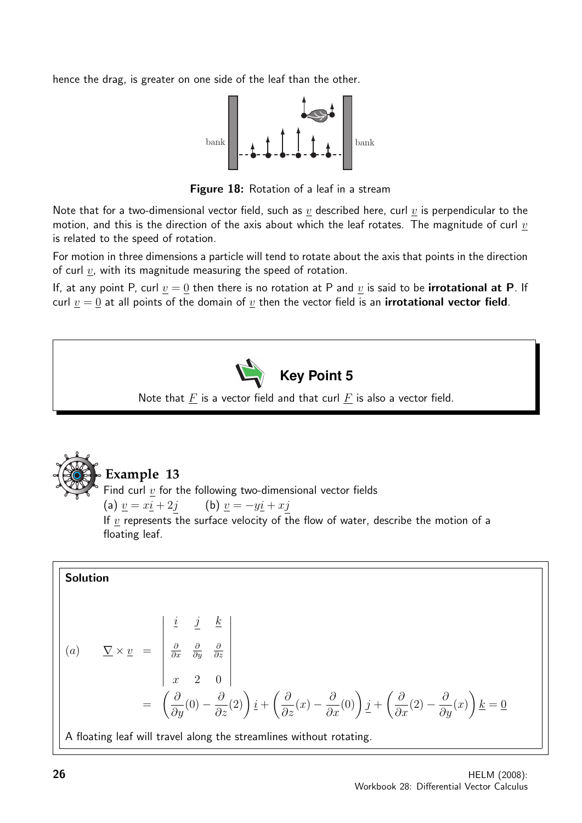hence the drag, is greater on one side of the leaf than the other.



Figure 18: Rotation of a leaf in a stream

Note that for a two-dimensional vector field, such as  $v$  described here, curl  $v$  is perpendicular to the motion, and this is the direction of the axis about which the leaf rotates. The magnitude of curl  $\underline{v}$ is related to the speed of rotation.

For motion in three dimensions a particle will tend to rotate about the axis that points in the direction of curl  $v$ , with its magnitude measuring the speed of rotation.

If, at any point P, curl  $v = 0$  then there is no rotation at P and  $v$  is said to be **irrotational at P**. If curl  $v = 0$  at all points of the domain of  $v$  then the vector field is an **irrotational vector field**.



Note that  $\underline{F}$  is a vector field and that curl  $\underline{F}$  is also a vector field.



#### **Example 13**

Find curl  $\underline{v}$  for the following two-dimensional vector fields (a)  $\underline{v} = x\underline{i} + 2j$  (b)  $\underline{v} = -y\underline{i} + xj$ If  $\underline{v}$  represents the surface velocity of the flow of water, describe the motion of a floating leaf.

Solution  
\n(a) 
$$
\nabla \times \underline{v} = \begin{vmatrix} \underline{i} & \underline{j} & \underline{k} \\ \frac{\partial}{\partial x} & \frac{\partial}{\partial y} & \frac{\partial}{\partial z} \\ x & 2 & 0 \end{vmatrix}
$$
\n
$$
= \left( \frac{\partial}{\partial y} (0) - \frac{\partial}{\partial z} (2) \right) \underline{i} + \left( \frac{\partial}{\partial z} (x) - \frac{\partial}{\partial x} (0) \right) \underline{j} + \left( \frac{\partial}{\partial x} (2) - \frac{\partial}{\partial y} (x) \right) \underline{k} = \underline{0}
$$
\nA floating leaf will travel along the streamlines without rotating.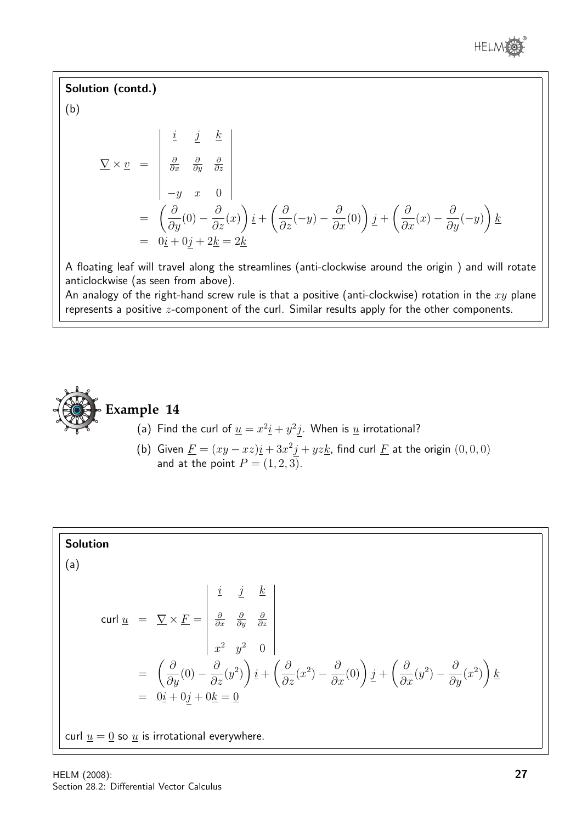

Solution (contd.)  $\alpha$ 

$$
(\mathsf{b})
$$

$$
\nabla \times \underline{v} = \begin{vmatrix} \underline{i} & \underline{j} & \underline{k} \\ \frac{\partial}{\partial x} & \frac{\partial}{\partial y} & \frac{\partial}{\partial z} \\ -y & x & 0 \end{vmatrix}
$$
  
=  $\left( \frac{\partial}{\partial y} (0) - \frac{\partial}{\partial z} (x) \right) \underline{i} + \left( \frac{\partial}{\partial z} (-y) - \frac{\partial}{\partial x} (0) \right) \underline{j} + \left( \frac{\partial}{\partial x} (x) - \frac{\partial}{\partial y} (-y) \right) \underline{k}$   
=  $0 \underline{i} + 0 \underline{j} + 2 \underline{k} = 2 \underline{k}$ 

A floating leaf will travel along the streamlines (anti-clockwise around the origin ) and will rotate anticlockwise (as seen from above).

An analogy of the right-hand screw rule is that a positive (anti-clockwise) rotation in the  $xy$  plane represents a positive z-component of the curl. Similar results apply for the other components.



#### **Example 14**

- (a) Find the curl of  $\underline{u} = x^2 \underline{i} + y^2 \underline{j}$ . When is  $\underline{u}$  irrotational?
- (b) Given  $\underline{F} = (xy xz)\underline{i} + 3x^2\underline{j} + yz\underline{k}$ , find curl  $\underline{F}$  at the origin  $(0,0,0)$ and at the point  $P = (1, 2, 3)$ .

Solution  
\n(a)  
\n
$$
\text{curl } \underline{u} = \nabla \times \underline{F} = \begin{vmatrix} \underline{i} & \underline{j} & \underline{k} \\ \frac{\partial}{\partial x} & \frac{\partial}{\partial y} & \frac{\partial}{\partial z} \\ x^2 & y^2 & 0 \end{vmatrix}
$$
\n
$$
= \left( \frac{\partial}{\partial y} (0) - \frac{\partial}{\partial z} (y^2) \right) \underline{i} + \left( \frac{\partial}{\partial z} (x^2) - \frac{\partial}{\partial x} (0) \right) \underline{j} + \left( \frac{\partial}{\partial x} (y^2) - \frac{\partial}{\partial y} (x^2) \right) \underline{k}
$$
\n
$$
= 0 \underline{i} + 0 \underline{j} + 0 \underline{k} = \underline{0}
$$
\n
$$
\text{curl } \underline{u} = \underline{0} \text{ so } \underline{u} \text{ is irrotational everywhere.}
$$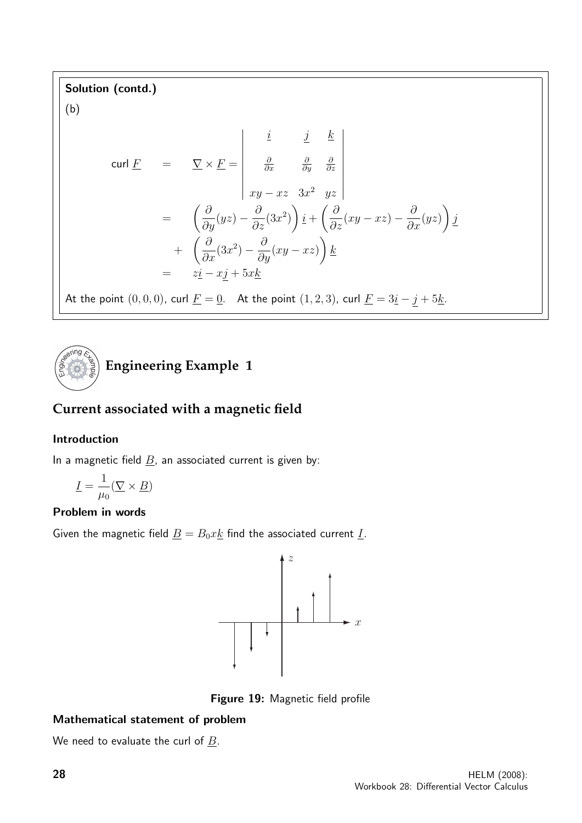Solution (contd.)

(b)

$$
\text{curl } \underline{F} = \nabla \times \underline{F} = \begin{vmatrix} \underline{i} & \underline{j} & \underline{k} \\ \frac{\partial}{\partial x} & \frac{\partial}{\partial y} & \frac{\partial}{\partial z} \\ xy - xz & 3x^2 & yz \end{vmatrix}
$$
\n
$$
= \left( \frac{\partial}{\partial y} (yz) - \frac{\partial}{\partial z} (3x^2) \right) \underline{i} + \left( \frac{\partial}{\partial z} (xy - xz) - \frac{\partial}{\partial x} (yz) \right) \underline{j}
$$
\n
$$
+ \left( \frac{\partial}{\partial x} (3x^2) - \frac{\partial}{\partial y} (xy - xz) \right) \underline{k}
$$
\n
$$
= z\underline{i} - x\underline{j} + 5x\underline{k}
$$

At the point  $(0, 0, 0)$ , curl  $\underline{F} = \underline{0}$ . At the point  $(1, 2, 3)$ , curl  $\underline{F} = 3\underline{i} - \underline{j} + 5\underline{k}$ .



### **Current associated with a magnetic field**

#### Introduction

In a magnetic field  $\underline{B}$ , an associated current is given by:

$$
\underline{I} = \frac{1}{\mu_0} (\underline{\nabla} \times \underline{B})
$$

#### Problem in words

Given the magnetic field  $\underline{B} = B_0 x \underline{k}$  find the associated current  $\underline{I}$ .



Figure 19: Magnetic field profile

#### Mathematical statement of problem

We need to evaluate the curl of  $\underline{B}$ .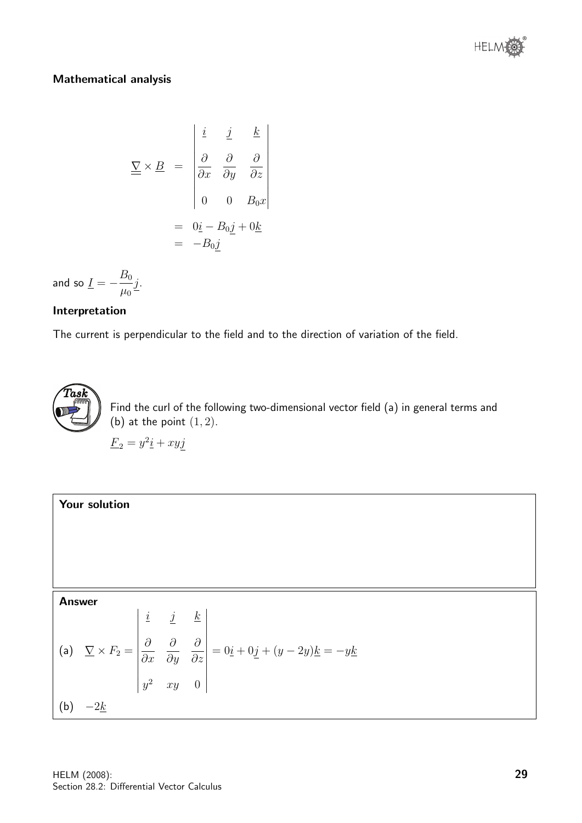

#### Mathematical analysis

$$
\underline{\underline{\nabla}} \times \underline{B} = \begin{vmatrix} \underline{i} & \underline{j} & \underline{k} \\ \frac{\partial}{\partial x} & \frac{\partial}{\partial y} & \frac{\partial}{\partial z} \\ 0 & 0 & B_0 x \end{vmatrix}
$$

$$
= \begin{vmatrix} 0\underline{i} - B_0 \underline{j} + 0\underline{k} \\ -B_0 \underline{j} \end{vmatrix}
$$

and so  $\underline{I}=-\frac{B_0}{\vphantom{A^A}}$  $\mu_0$ j.

#### Interpretation

The current is perpendicular to the field and to the direction of variation of the field.



Find the curl of the following two-dimensional vector field (a) in general terms and (b) at the point  $(1, 2)$ .

 $\underline{F}_2 = y^2 \underline{i} + xy \underline{j}$ 

Your solution Answer (a) ∇ × F<sup>2</sup> = i j k ∂ ∂x ∂ ∂y ∂ ∂z y <sup>2</sup> xy 0 = 0i + 0j + (y − 2y)k = −yk (b) −2k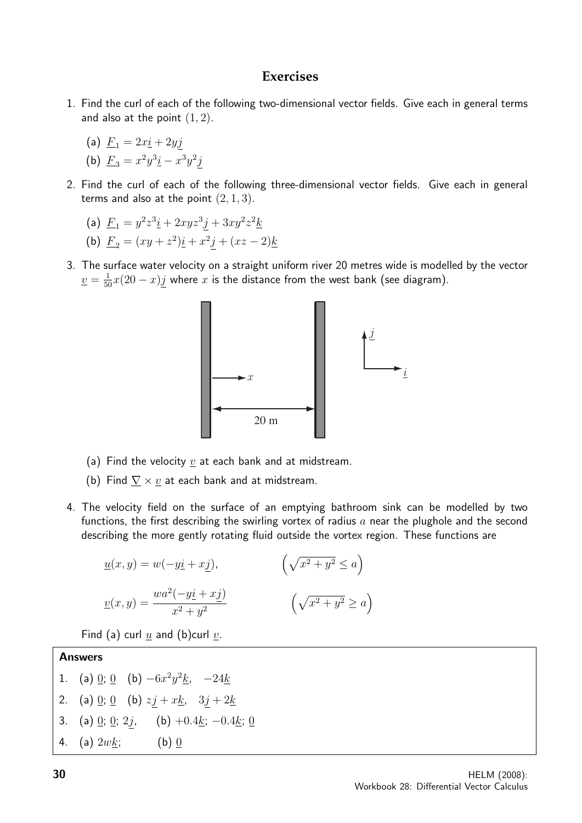#### **Exercises**

- 1. Find the curl of each of the following two-dimensional vector fields. Give each in general terms and also at the point  $(1, 2)$ .
	- (a)  $F_1 = 2xi + 2yj$
	- (b)  $\underline{F}_3 = x^2y^3\underline{i} x^3y^2\underline{j}$
- 2. Find the curl of each of the following three-dimensional vector fields. Give each in general terms and also at the point  $(2, 1, 3)$ .

(a) 
$$
\underline{F}_1 = y^2 z^3 \underline{i} + 2xyz^3 \underline{j} + 3xy^2 z^2 \underline{k}
$$

- (b)  $\underline{F}_2 = (xy + z^2)\underline{i} + x^2\underline{j} + (xz 2)\underline{k}$
- 3. The surface water velocity on a straight uniform river 20 metres wide is modelled by the vector  $\underline{v} = \frac{1}{50}x(20-x)\underline{j}$  where  $x$  is the distance from the west bank (see diagram).



- (a) Find the velocity  $\underline{v}$  at each bank and at midstream.
- (b) Find  $\nabla \times v$  at each bank and at midstream.
- 4. The velocity field on the surface of an emptying bathroom sink can be modelled by two functions, the first describing the swirling vortex of radius  $a$  near the plughole and the second describing the more gently rotating fluid outside the vortex region. These functions are

$$
\underline{u}(x, y) = w(-y\underline{i} + x\underline{j}), \qquad \qquad \left(\sqrt{x^2 + y^2} \le a\right)
$$

$$
\underline{v}(x, y) = \frac{wa^2(-y\underline{i} + x\underline{j})}{x^2 + y^2} \qquad \qquad \left(\sqrt{x^2 + y^2} \ge a\right)
$$

Find (a) curl  $u$  and (b)curl  $v$ .

## Answers 1. (a)  $\underline{0}$ ;  $\underline{0}$  (b)  $-6x^2y^2k$ ,  $-24k$ 2. (a)  $\underline{0}$ ;  $\underline{0}$  (b)  $zj + x\underline{k}$ ,  $3j + 2\underline{k}$ 3. (a) <u>0</u>; <u>0</u>; 2*j*, (b) +0.4<u>k</u>; −0.4<u>k</u>; 0

4. (a)  $2wk$ ; (b) 0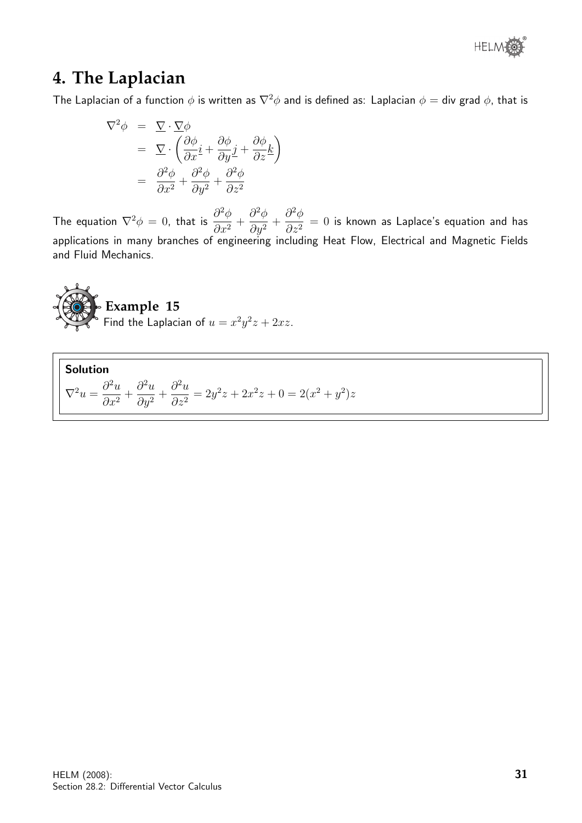

### **4. The Laplacian**

The Laplacian of a function  $\phi$  is written as  $\nabla^2 \phi$  and is defined as: Laplacian  $\phi =$  div grad  $\phi$ , that is

$$
\nabla^2 \phi = \nabla \cdot \nabla \phi
$$
  
=\n
$$
\nabla \cdot \left( \frac{\partial \phi}{\partial x} \mathbf{i} + \frac{\partial \phi}{\partial y} \mathbf{j} + \frac{\partial \phi}{\partial z} \mathbf{k} \right)
$$
  
=\n
$$
\frac{\partial^2 \phi}{\partial x^2} + \frac{\partial^2 \phi}{\partial y^2} + \frac{\partial^2 \phi}{\partial z^2}
$$

The equation  $\nabla^2 \phi = 0$ , that is  $\frac{\partial^2 \phi}{\partial x^2}$  $\frac{\partial}{\partial x^2}$  +  $\partial^2\phi$  $\frac{\partial^2 y}{\partial y^2} +$  $\partial^2\phi$  $\frac{\partial^2 \psi}{\partial z^2} = 0$  is known as Laplace's equation and has applications in many branches of engineering including Heat Flow, Electrical and Magnetic Fields and Fluid Mechanics.



Find the Laplacian of  $u = x^2y^2z + 2xz$ .

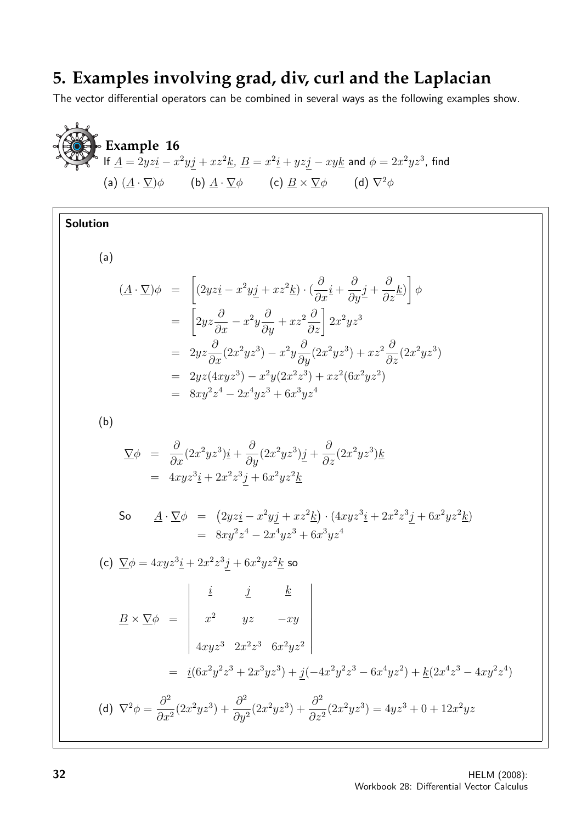## **5. Examples involving grad, div, curl and the Laplacian**

The vector differential operators can be combined in several ways as the following examples show.

**Example 16**  
\n(a) 
$$
(\underline{A} \cdot \nabla)\phi
$$
 (b)  $\underline{A} \cdot \nabla\phi$  (c)  $\underline{B} \times \nabla\phi$  (d)  $\nabla^2\phi$   
\n**Solution**  
\n(a)  $(\underline{A} \cdot \nabla)\phi$  (b)  $\underline{A} \cdot \nabla\phi$  (c)  $\underline{B} \times \nabla\phi$  (d)  $\nabla^2\phi$   
\n**Solution**  
\n(a)  $(\underline{A} \cdot \nabla)\phi = \left[ (2yzi - x^2yj + xz^2k) \cdot (\frac{\partial}{\partial x}i + \frac{\partial}{\partial y}j + \frac{\partial}{\partial z}k) \right] \phi$   
\n $= \left[ 2yz\frac{\partial}{\partial x} - x^2y\frac{\partial}{\partial y} + xz^2\frac{\partial}{\partial z} \right] 2x^2yz^3$   
\n $= 2yz\frac{\partial}{\partial x}(2x^2yz^2) - x^2y\frac{\partial}{\partial y}(2x^2yz^2) + xz^2\frac{\partial}{\partial z}(2x^2yz^2)$   
\n $= 2yz(4xyz^3) - x^2y(2x^2z^3) + xz^2(6x^2yz^2)$   
\n $= 8xy^2z^4 - 2x^4yz^3 + 6x^2yz^4$   
\n(b)  $\nabla\phi = \frac{\partial}{\partial x}(2x^2yz^3)i + \frac{\partial}{\partial y}(2x^2yz^3)j + \frac{\partial}{\partial z}(2x^2yz^3)k$   
\n $= 4xyz^3i + 2x^2z^3j + 6x^2yz^2k$   
\nSo  $\underline{A} \cdot \nabla\phi = (2yzi - x^2yzj + xz^2k) \cdot (4xyz^3i + 2x^2z^3j + 6x^2yz^2k)$   
\n $= 8xyz^3z^4 - 2x^4yz^3 + 6x^2yz^2$   
\n(c)  $\nabla\phi = 4xyz^3i + 2x^2z^3j + 6x^2yz^2k$  so  
\n $\underline{B} \times \nabla\phi = \$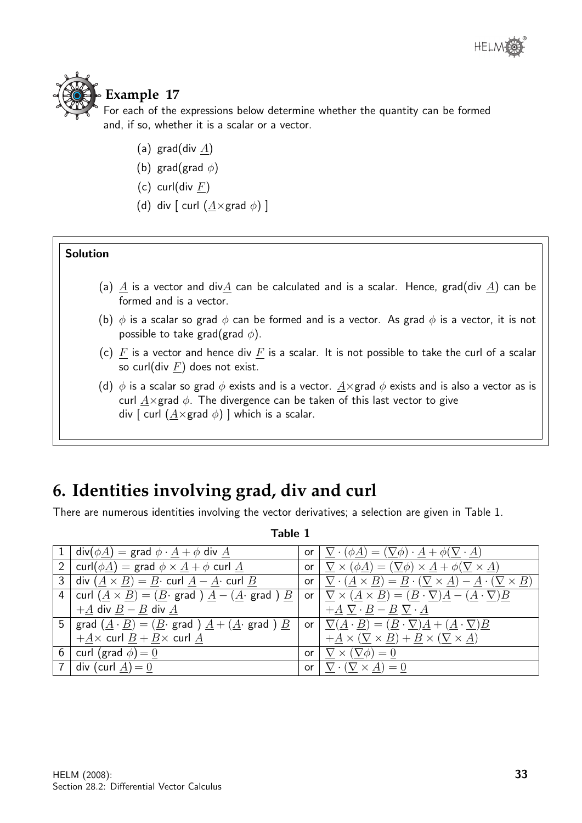

### **Example 17**

For each of the expressions below determine whether the quantity can be formed and, if so, whether it is a scalar or a vector.

- (a) grad(div  $A$ )
- (b) grad(grad  $\phi$ )
- (c) curl(div  $F$ )
- (d) div  $\lceil$  curl  $(\underline{A} \times \text{grad } \phi) \rceil$

#### Solution

- (a) A is a vector and divA can be calculated and is a scalar. Hence, grad(div A) can be formed and is a vector.
- (b)  $\phi$  is a scalar so grad  $\phi$  can be formed and is a vector. As grad  $\phi$  is a vector, it is not possible to take grad(grad  $\phi$ ).
- (c) F is a vector and hence div F is a scalar. It is not possible to take the curl of a scalar so curl(div  $\underline{F}$ ) does not exist.
- (d)  $\phi$  is a scalar so grad  $\phi$  exists and is a vector.  $\underline{A} \times \underline{B}$  and  $\phi$  exists and is also a vector as is curl  $\underline{A} \times \underline{B}$  and  $\phi$ . The divergence can be taken of this last vector to give div  $\lceil$  curl  $(A \times \text{grad } \phi) \rceil$  which is a scalar.

# **6. Identities involving grad, div and curl**

There are numerous identities involving the vector derivatives; a selection are given in Table 1.

| 1 div $(\phi \underline{A})$ = grad $\phi \cdot \underline{A} + \phi$ div $\underline{A}$                                                               | or $\nabla \cdot (\phi \underline{A}) = (\nabla \phi) \cdot \underline{A} + \phi (\nabla \cdot \underline{A})$                                                 |
|---------------------------------------------------------------------------------------------------------------------------------------------------------|----------------------------------------------------------------------------------------------------------------------------------------------------------------|
| 2   curl $(\phi \underline{A})$ = grad $\phi \times \underline{A} + \phi$ curl $\underline{A}$                                                          | or $\nabla \times (\phi \underline{A}) = (\nabla \phi) \times \underline{A} + \phi (\nabla \times \underline{A})$                                              |
| 3 div $(\underline{A} \times \underline{B}) = \underline{B} \cdot \text{curl } \underline{A} - \underline{A} \cdot \text{curl } \underline{B}$          | or $\nabla \cdot (\underline{A} \times \underline{B}) = \underline{B} \cdot (\nabla \times \underline{A}) - \underline{A} \cdot (\nabla \times \underline{B})$ |
| 4   curl $(\underline{A} \times \underline{B}) = (\underline{B} \cdot \text{grad } ) \underline{A} - (\underline{A} \cdot \text{grad } ) \underline{B}$ | or $\nabla \times (\underline{A} \times \underline{B}) = (\underline{B} \cdot \nabla)\underline{A} - (\underline{A} \cdot \nabla)\underline{B}$                |
| $+A$ div $B - B$ div $A$                                                                                                                                | $+A \nabla \cdot B - B \nabla \cdot A$                                                                                                                         |
| 5   grad $(\underline{A} \cdot \underline{B}) = (\underline{B} \cdot \text{grad}) \underline{A} + (\underline{A} \cdot \text{grad}) \underline{B}$      | or $\nabla(\underline{A} \cdot \underline{B}) = (\underline{B} \cdot \nabla)\underline{A} + (\underline{A} \cdot \nabla)\underline{B}$                         |
| $+\underline{A} \times$ curl $\underline{B} + \underline{B} \times$ curl $\underline{A}$                                                                | $+\underline{A} \times (\underline{\nabla} \times \underline{B}) + \underline{B} \times (\underline{\nabla} \times \underline{A})$                             |
| 6   curl (grad $\phi$ ) = 0                                                                                                                             | or $\nabla \times (\nabla \phi) = 0$                                                                                                                           |
| 7 div (curl $\underline{A}$ ) = 0                                                                                                                       | or $\nabla \cdot (\nabla \times \underline{A}) = 0$                                                                                                            |

Table 1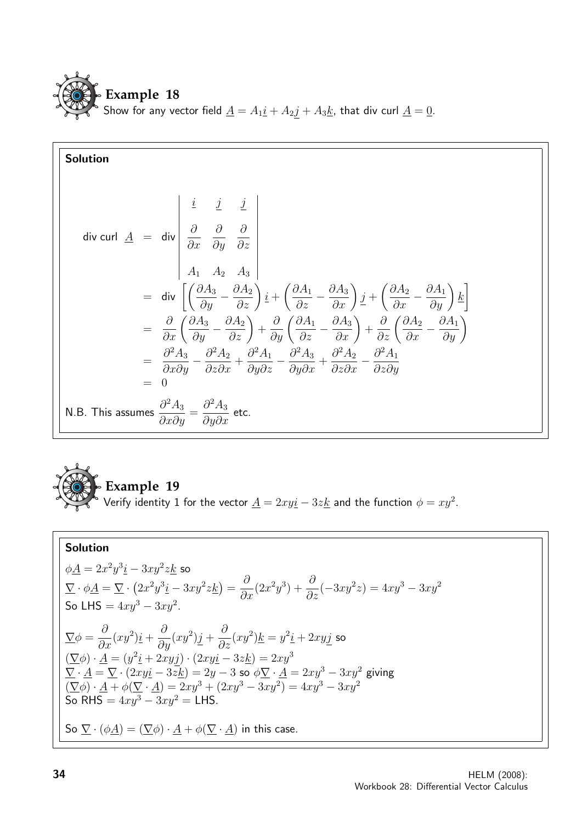

Solution  
\ndiv curl 
$$
\underline{A} = \text{div }\begin{vmatrix} \frac{i}{\partial x} & \frac{j}{\partial y} & \frac{j}{\partial z} \\ \frac{\partial}{\partial x} & \frac{\partial}{\partial y} & \frac{\partial}{\partial z} \\ A_1 & A_2 & A_3 \end{vmatrix}
$$
  
\n
$$
= \text{div }\begin{bmatrix} \left(\frac{\partial A_3}{\partial y} - \frac{\partial A_2}{\partial z}\right) \frac{i}{z} + \left(\frac{\partial A_1}{\partial z} - \frac{\partial A_3}{\partial x}\right) \frac{j}{z} + \left(\frac{\partial A_2}{\partial x} - \frac{\partial A_1}{\partial y}\right) \frac{k}{z} \end{bmatrix}
$$
\n
$$
= \frac{\partial}{\partial x} \left(\frac{\partial A_3}{\partial y} - \frac{\partial A_2}{\partial z}\right) + \frac{\partial}{\partial y} \left(\frac{\partial A_1}{\partial z} - \frac{\partial A_3}{\partial x}\right) + \frac{\partial}{\partial z} \left(\frac{\partial A_2}{\partial x} - \frac{\partial A_1}{\partial y}\right)
$$
\n
$$
= \frac{\partial^2 A_3}{\partial x \partial y} - \frac{\partial^2 A_2}{\partial z \partial x} + \frac{\partial^2 A_1}{\partial y \partial z} - \frac{\partial^2 A_3}{\partial y \partial x} + \frac{\partial^2 A_2}{\partial z \partial x} - \frac{\partial^2 A_1}{\partial z \partial y}
$$
\n
$$
= 0
$$
\nN.B. This assumes  $\frac{\partial^2 A_3}{\partial x \partial y} = \frac{\partial^2 A_3}{\partial y \partial x}$  etc.



Verify identity 1 for the vector  $\underline{A} = 2xy \underline{i} - 3z \underline{k}$  and the function  $\phi = xy^2$ .

### Solution

$$
\phi \underline{A} = 2x^2y^3\underline{i} - 3xy^2z\underline{k} \text{ so}
$$
\n
$$
\nabla \cdot \phi \underline{A} = \nabla \cdot (2x^2y^3\underline{i} - 3xy^2z\underline{k}) = \frac{\partial}{\partial x}(2x^2y^3) + \frac{\partial}{\partial z}(-3xy^2z) = 4xy^3 - 3xy^2
$$
\nSo LHS =  $4xy^3 - 3xy^2$ .  
\n
$$
\nabla \phi = \frac{\partial}{\partial x}(xy^2)\underline{i} + \frac{\partial}{\partial y}(xy^2)\underline{j} + \frac{\partial}{\partial z}(xy^2)\underline{k} = y^2\underline{i} + 2xy\underline{j} \text{ so}
$$
\n
$$
(\nabla \phi) \cdot \underline{A} = (y^2\underline{i} + 2xy\underline{j}) \cdot (2xy\underline{i} - 3z\underline{k}) = 2xy^3
$$
\n
$$
\nabla \cdot \underline{A} = \nabla \cdot (2xy\underline{i} - 3z\underline{k}) = 2y - 3 \text{ so } \phi \nabla \cdot \underline{A} = 2xy^3 - 3xy^2 \text{ giving}
$$
\n
$$
(\nabla \phi) \cdot \underline{A} + \phi(\nabla \cdot \underline{A}) = 2xy^3 + (2xy^3 - 3xy^2) = 4xy^3 - 3xy^2
$$
\nSo RHS =  $4xy^3 - 3xy^2 =$  LHS.  
\nSo  $\nabla \cdot (\phi \underline{A}) = (\nabla \phi) \cdot \underline{A} + \phi(\nabla \cdot \underline{A})$  in this case.  
\nSo  $\nabla \cdot (\phi \underline{A}) = (\nabla \phi) \cdot \underline{A} + \phi(\nabla \cdot \underline{A})$  in this case.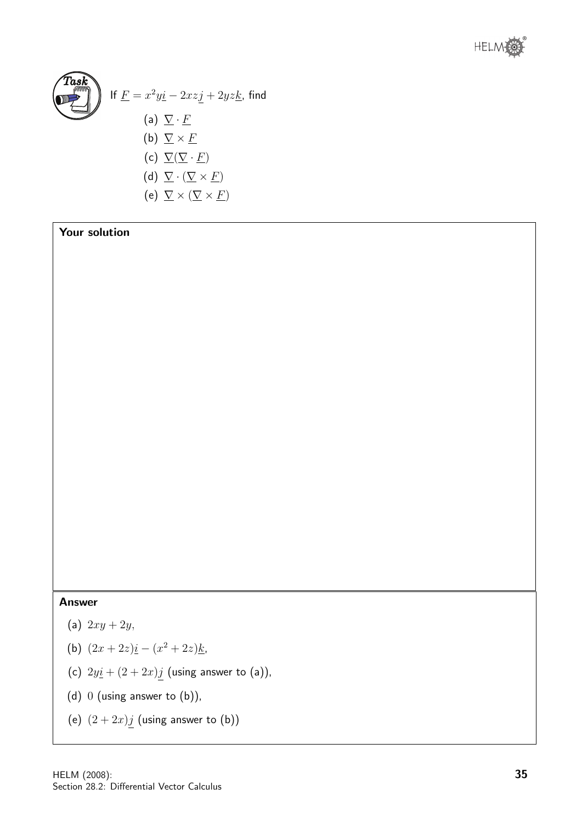



Your solution

#### Answer

- (a)  $2xy + 2y$ ,
- (b)  $(2x+2z)\underline{i}-(x^2+2z)\underline{k}$ ,
- (c)  $2y\textbf{i} + (2 + 2x)\textbf{j}$  (using answer to (a)),
- (d) 0 (using answer to (b)),
- (e)  $(2+2x)j$  (using answer to (b))